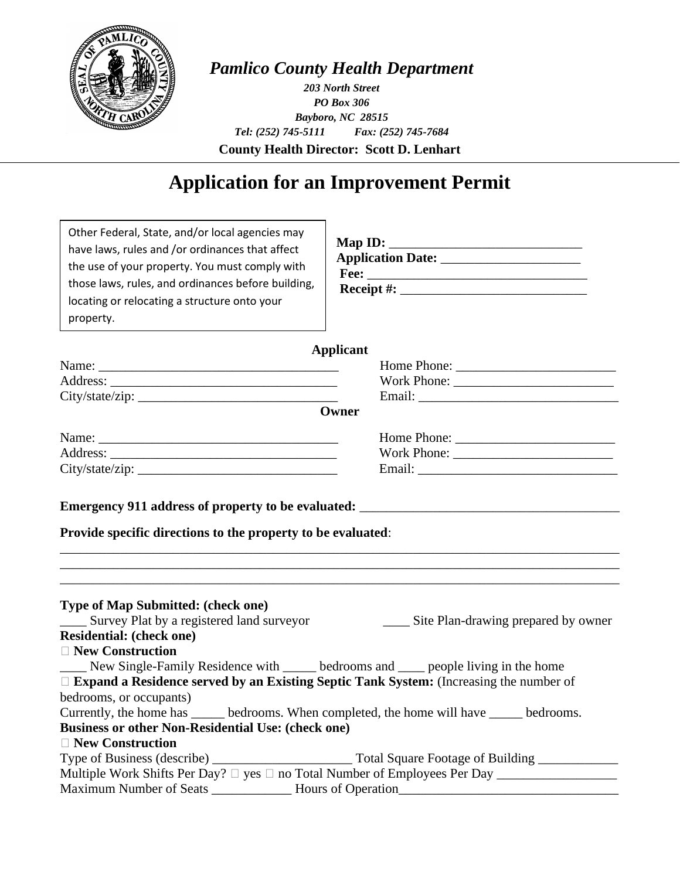

## *Pamlico County Health Department*

**County Health Director: Scott D. Lenhart** *203 North Street PO Box 306 Bayboro, NC 28515 Tel: (252) 745-5111 Fax: (252) 745-7684*

# **Application for an Improvement Permit**

| Other Federal, State, and/or local agencies may<br>have laws, rules and /or ordinances that affect<br>the use of your property. You must comply with<br>those laws, rules, and ordinances before building,<br>locating or relocating a structure onto your<br>property. |                                                                                                     |
|-------------------------------------------------------------------------------------------------------------------------------------------------------------------------------------------------------------------------------------------------------------------------|-----------------------------------------------------------------------------------------------------|
|                                                                                                                                                                                                                                                                         | <b>Applicant</b>                                                                                    |
|                                                                                                                                                                                                                                                                         |                                                                                                     |
|                                                                                                                                                                                                                                                                         |                                                                                                     |
| City/state/zip:                                                                                                                                                                                                                                                         |                                                                                                     |
|                                                                                                                                                                                                                                                                         | Owner                                                                                               |
|                                                                                                                                                                                                                                                                         | Home Phone:                                                                                         |
|                                                                                                                                                                                                                                                                         |                                                                                                     |
|                                                                                                                                                                                                                                                                         | Email:                                                                                              |
|                                                                                                                                                                                                                                                                         |                                                                                                     |
| <b>Type of Map Submitted: (check one)</b><br>______ Survey Plat by a registered land surveyor<br><b>Residential: (check one)</b>                                                                                                                                        | ______ Site Plan-drawing prepared by owner                                                          |
| $\Box$ New Construction                                                                                                                                                                                                                                                 |                                                                                                     |
| New Single-Family Residence with bedrooms and people living in the home                                                                                                                                                                                                 |                                                                                                     |
| $\Box$ Expand a Residence served by an Existing Septic Tank System: (Increasing the number of                                                                                                                                                                           |                                                                                                     |
| bedrooms, or occupants)                                                                                                                                                                                                                                                 |                                                                                                     |
| Currently, the home has ______ bedrooms. When completed, the home will have _____ bedrooms.                                                                                                                                                                             |                                                                                                     |
| <b>Business or other Non-Residential Use: (check one)</b>                                                                                                                                                                                                               |                                                                                                     |
| $\Box$ New Construction                                                                                                                                                                                                                                                 |                                                                                                     |
|                                                                                                                                                                                                                                                                         |                                                                                                     |
|                                                                                                                                                                                                                                                                         | Multiple Work Shifts Per Day? □ yes □ no Total Number of Employees Per Day ________________________ |
|                                                                                                                                                                                                                                                                         |                                                                                                     |